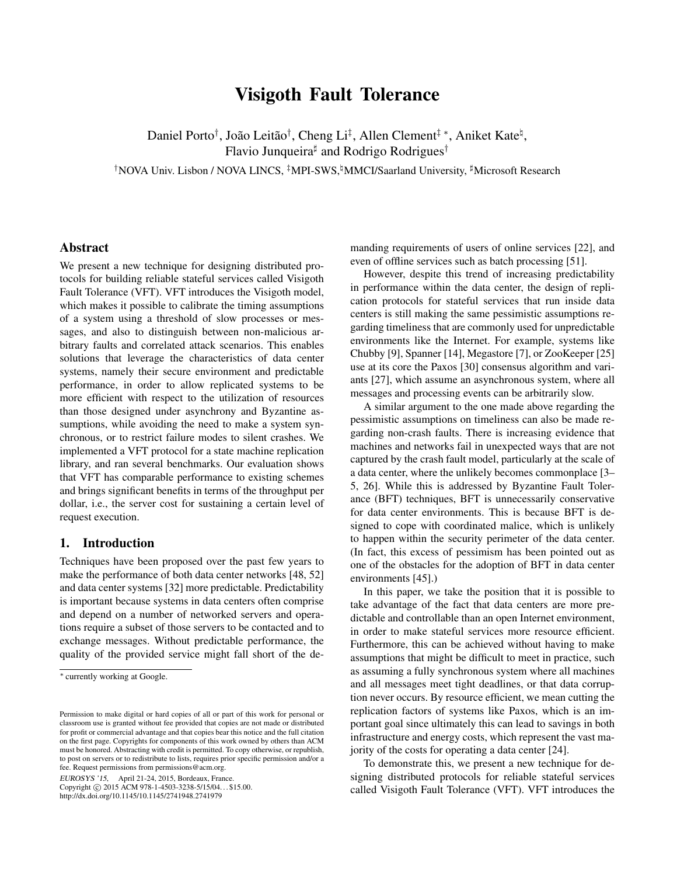# Visigoth Fault Tolerance

Daniel Porto<sup>†</sup>, João Leitão<sup>†</sup>, Cheng Li<sup>‡</sup>, Allen Clement<sup>‡</sup> \*, Aniket Kate<sup>‡</sup>, Flavio Junqueira<sup> $\sharp$ </sup> and Rodrigo Rodrigues<sup>†</sup>

<sup>†</sup>NOVA Univ. Lisbon / NOVA LINCS, <sup>‡</sup>MPI-SWS, <sup>h</sup>MMCI/Saarland University, <sup>#</sup>Microsoft Research

## Abstract

We present a new technique for designing distributed protocols for building reliable stateful services called Visigoth Fault Tolerance (VFT). VFT introduces the Visigoth model, which makes it possible to calibrate the timing assumptions of a system using a threshold of slow processes or messages, and also to distinguish between non-malicious arbitrary faults and correlated attack scenarios. This enables solutions that leverage the characteristics of data center systems, namely their secure environment and predictable performance, in order to allow replicated systems to be more efficient with respect to the utilization of resources than those designed under asynchrony and Byzantine assumptions, while avoiding the need to make a system synchronous, or to restrict failure modes to silent crashes. We implemented a VFT protocol for a state machine replication library, and ran several benchmarks. Our evaluation shows that VFT has comparable performance to existing schemes and brings significant benefits in terms of the throughput per dollar, i.e., the server cost for sustaining a certain level of request execution.

## 1. Introduction

Techniques have been proposed over the past few years to make the performance of both data center networks [48, 52] and data center systems [32] more predictable. Predictability is important because systems in data centers often comprise and depend on a number of networked servers and operations require a subset of those servers to be contacted and to exchange messages. Without predictable performance, the quality of the provided service might fall short of the de-

EUROSYS '15, April 21-24, 2015, Bordeaux, France.

Copyright © 2015 ACM 978-1-4503-3238-5/15/04... \$15.00. http://dx.doi.org/10.1145/10.1145/2741948.2741979

manding requirements of users of online services [22], and even of offline services such as batch processing [51].

However, despite this trend of increasing predictability in performance within the data center, the design of replication protocols for stateful services that run inside data centers is still making the same pessimistic assumptions regarding timeliness that are commonly used for unpredictable environments like the Internet. For example, systems like Chubby [9], Spanner [14], Megastore [7], or ZooKeeper [25] use at its core the Paxos [30] consensus algorithm and variants [27], which assume an asynchronous system, where all messages and processing events can be arbitrarily slow.

A similar argument to the one made above regarding the pessimistic assumptions on timeliness can also be made regarding non-crash faults. There is increasing evidence that machines and networks fail in unexpected ways that are not captured by the crash fault model, particularly at the scale of a data center, where the unlikely becomes commonplace [3– 5, 26]. While this is addressed by Byzantine Fault Tolerance (BFT) techniques, BFT is unnecessarily conservative for data center environments. This is because BFT is designed to cope with coordinated malice, which is unlikely to happen within the security perimeter of the data center. (In fact, this excess of pessimism has been pointed out as one of the obstacles for the adoption of BFT in data center environments [45].)

In this paper, we take the position that it is possible to take advantage of the fact that data centers are more predictable and controllable than an open Internet environment, in order to make stateful services more resource efficient. Furthermore, this can be achieved without having to make assumptions that might be difficult to meet in practice, such as assuming a fully synchronous system where all machines and all messages meet tight deadlines, or that data corruption never occurs. By resource efficient, we mean cutting the replication factors of systems like Paxos, which is an important goal since ultimately this can lead to savings in both infrastructure and energy costs, which represent the vast majority of the costs for operating a data center [24].

To demonstrate this, we present a new technique for designing distributed protocols for reliable stateful services called Visigoth Fault Tolerance (VFT). VFT introduces the

<sup>∗</sup> currently working at Google.

Permission to make digital or hard copies of all or part of this work for personal or classroom use is granted without fee provided that copies are not made or distributed for profit or commercial advantage and that copies bear this notice and the full citation on the first page. Copyrights for components of this work owned by others than ACM must be honored. Abstracting with credit is permitted. To copy otherwise, or republish, to post on servers or to redistribute to lists, requires prior specific permission and/or a fee. Request permissions from permissions@acm.org.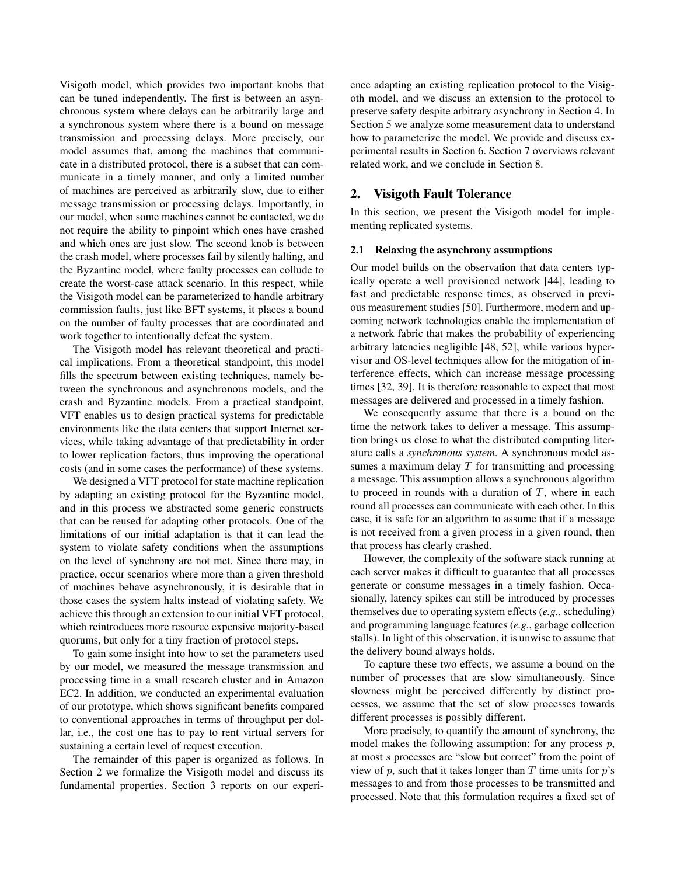Visigoth model, which provides two important knobs that can be tuned independently. The first is between an asynchronous system where delays can be arbitrarily large and a synchronous system where there is a bound on message transmission and processing delays. More precisely, our model assumes that, among the machines that communicate in a distributed protocol, there is a subset that can communicate in a timely manner, and only a limited number of machines are perceived as arbitrarily slow, due to either message transmission or processing delays. Importantly, in our model, when some machines cannot be contacted, we do not require the ability to pinpoint which ones have crashed and which ones are just slow. The second knob is between the crash model, where processes fail by silently halting, and the Byzantine model, where faulty processes can collude to create the worst-case attack scenario. In this respect, while the Visigoth model can be parameterized to handle arbitrary commission faults, just like BFT systems, it places a bound on the number of faulty processes that are coordinated and work together to intentionally defeat the system.

The Visigoth model has relevant theoretical and practical implications. From a theoretical standpoint, this model fills the spectrum between existing techniques, namely between the synchronous and asynchronous models, and the crash and Byzantine models. From a practical standpoint, VFT enables us to design practical systems for predictable environments like the data centers that support Internet services, while taking advantage of that predictability in order to lower replication factors, thus improving the operational costs (and in some cases the performance) of these systems.

We designed a VFT protocol for state machine replication by adapting an existing protocol for the Byzantine model, and in this process we abstracted some generic constructs that can be reused for adapting other protocols. One of the limitations of our initial adaptation is that it can lead the system to violate safety conditions when the assumptions on the level of synchrony are not met. Since there may, in practice, occur scenarios where more than a given threshold of machines behave asynchronously, it is desirable that in those cases the system halts instead of violating safety. We achieve this through an extension to our initial VFT protocol, which reintroduces more resource expensive majority-based quorums, but only for a tiny fraction of protocol steps.

To gain some insight into how to set the parameters used by our model, we measured the message transmission and processing time in a small research cluster and in Amazon EC2. In addition, we conducted an experimental evaluation of our prototype, which shows significant benefits compared to conventional approaches in terms of throughput per dollar, i.e., the cost one has to pay to rent virtual servers for sustaining a certain level of request execution.

The remainder of this paper is organized as follows. In Section 2 we formalize the Visigoth model and discuss its fundamental properties. Section 3 reports on our experience adapting an existing replication protocol to the Visigoth model, and we discuss an extension to the protocol to preserve safety despite arbitrary asynchrony in Section 4. In Section 5 we analyze some measurement data to understand how to parameterize the model. We provide and discuss experimental results in Section 6. Section 7 overviews relevant related work, and we conclude in Section 8.

## 2. Visigoth Fault Tolerance

In this section, we present the Visigoth model for implementing replicated systems.

#### 2.1 Relaxing the asynchrony assumptions

Our model builds on the observation that data centers typically operate a well provisioned network [44], leading to fast and predictable response times, as observed in previous measurement studies [50]. Furthermore, modern and upcoming network technologies enable the implementation of a network fabric that makes the probability of experiencing arbitrary latencies negligible [48, 52], while various hypervisor and OS-level techniques allow for the mitigation of interference effects, which can increase message processing times [32, 39]. It is therefore reasonable to expect that most messages are delivered and processed in a timely fashion.

We consequently assume that there is a bound on the time the network takes to deliver a message. This assumption brings us close to what the distributed computing literature calls a *synchronous system*. A synchronous model assumes a maximum delay  $T$  for transmitting and processing a message. This assumption allows a synchronous algorithm to proceed in rounds with a duration of  $T$ , where in each round all processes can communicate with each other. In this case, it is safe for an algorithm to assume that if a message is not received from a given process in a given round, then that process has clearly crashed.

However, the complexity of the software stack running at each server makes it difficult to guarantee that all processes generate or consume messages in a timely fashion. Occasionally, latency spikes can still be introduced by processes themselves due to operating system effects (*e.g.*, scheduling) and programming language features (*e.g.*, garbage collection stalls). In light of this observation, it is unwise to assume that the delivery bound always holds.

To capture these two effects, we assume a bound on the number of processes that are slow simultaneously. Since slowness might be perceived differently by distinct processes, we assume that the set of slow processes towards different processes is possibly different.

More precisely, to quantify the amount of synchrony, the model makes the following assumption: for any process  $p$ , at most s processes are "slow but correct" from the point of view of p, such that it takes longer than  $T$  time units for  $p$ 's messages to and from those processes to be transmitted and processed. Note that this formulation requires a fixed set of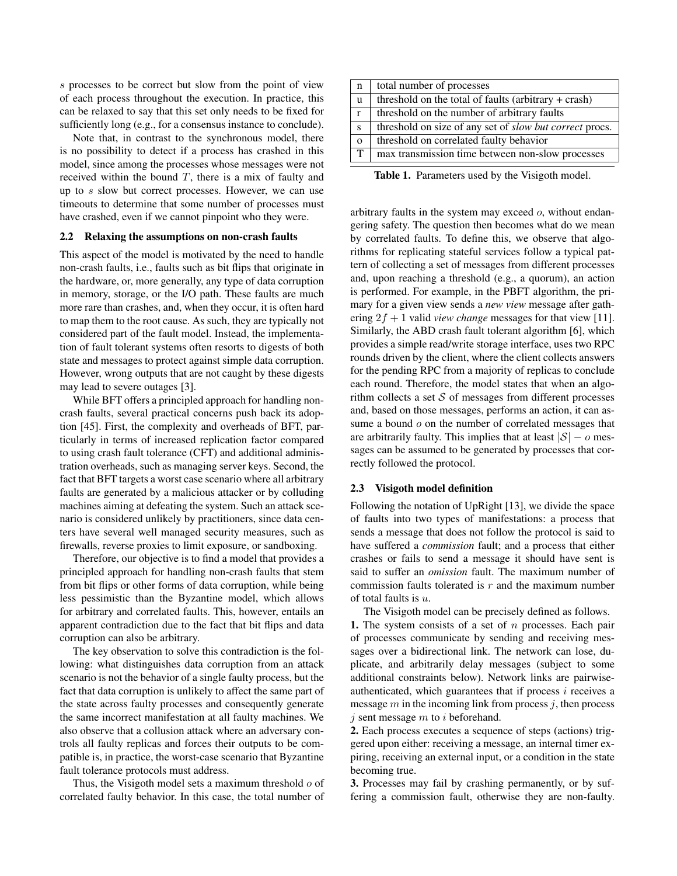s processes to be correct but slow from the point of view of each process throughout the execution. In practice, this can be relaxed to say that this set only needs to be fixed for sufficiently long (e.g., for a consensus instance to conclude).

Note that, in contrast to the synchronous model, there is no possibility to detect if a process has crashed in this model, since among the processes whose messages were not received within the bound  $T$ , there is a mix of faulty and up to s slow but correct processes. However, we can use timeouts to determine that some number of processes must have crashed, even if we cannot pinpoint who they were.

#### 2.2 Relaxing the assumptions on non-crash faults

This aspect of the model is motivated by the need to handle non-crash faults, i.e., faults such as bit flips that originate in the hardware, or, more generally, any type of data corruption in memory, storage, or the I/O path. These faults are much more rare than crashes, and, when they occur, it is often hard to map them to the root cause. As such, they are typically not considered part of the fault model. Instead, the implementation of fault tolerant systems often resorts to digests of both state and messages to protect against simple data corruption. However, wrong outputs that are not caught by these digests may lead to severe outages [3].

While BFT offers a principled approach for handling noncrash faults, several practical concerns push back its adoption [45]. First, the complexity and overheads of BFT, particularly in terms of increased replication factor compared to using crash fault tolerance (CFT) and additional administration overheads, such as managing server keys. Second, the fact that BFT targets a worst case scenario where all arbitrary faults are generated by a malicious attacker or by colluding machines aiming at defeating the system. Such an attack scenario is considered unlikely by practitioners, since data centers have several well managed security measures, such as firewalls, reverse proxies to limit exposure, or sandboxing.

Therefore, our objective is to find a model that provides a principled approach for handling non-crash faults that stem from bit flips or other forms of data corruption, while being less pessimistic than the Byzantine model, which allows for arbitrary and correlated faults. This, however, entails an apparent contradiction due to the fact that bit flips and data corruption can also be arbitrary.

The key observation to solve this contradiction is the following: what distinguishes data corruption from an attack scenario is not the behavior of a single faulty process, but the fact that data corruption is unlikely to affect the same part of the state across faulty processes and consequently generate the same incorrect manifestation at all faulty machines. We also observe that a collusion attack where an adversary controls all faulty replicas and forces their outputs to be compatible is, in practice, the worst-case scenario that Byzantine fault tolerance protocols must address.

Thus, the Visigoth model sets a maximum threshold  $o$  of correlated faulty behavior. In this case, the total number of

| n            | total number of processes                                      |
|--------------|----------------------------------------------------------------|
| u            | threshold on the total of faults (arbitrary $+$ crash)         |
| $\mathbf{r}$ | threshold on the number of arbitrary faults                    |
| S            | threshold on size of any set of <i>slow but correct</i> procs. |
| $\Omega$     | threshold on correlated faulty behavior                        |
| T            | max transmission time between non-slow processes               |

Table 1. Parameters used by the Visigoth model.

arbitrary faults in the system may exceed  $o$ , without endangering safety. The question then becomes what do we mean by correlated faults. To define this, we observe that algorithms for replicating stateful services follow a typical pattern of collecting a set of messages from different processes and, upon reaching a threshold (e.g., a quorum), an action is performed. For example, in the PBFT algorithm, the primary for a given view sends a *new view* message after gathering  $2f + 1$  valid *view change* messages for that view [11]. Similarly, the ABD crash fault tolerant algorithm [6], which provides a simple read/write storage interface, uses two RPC rounds driven by the client, where the client collects answers for the pending RPC from a majority of replicas to conclude each round. Therefore, the model states that when an algorithm collects a set  $S$  of messages from different processes and, based on those messages, performs an action, it can assume a bound  $o$  on the number of correlated messages that are arbitrarily faulty. This implies that at least  $|S| - o$  messages can be assumed to be generated by processes that correctly followed the protocol.

#### 2.3 Visigoth model definition

Following the notation of UpRight [13], we divide the space of faults into two types of manifestations: a process that sends a message that does not follow the protocol is said to have suffered a *commission* fault; and a process that either crashes or fails to send a message it should have sent is said to suffer an *omission* fault. The maximum number of commission faults tolerated is  $r$  and the maximum number of total faults is u.

The Visigoth model can be precisely defined as follows. 1. The system consists of a set of  $n$  processes. Each pair of processes communicate by sending and receiving messages over a bidirectional link. The network can lose, duplicate, and arbitrarily delay messages (subject to some additional constraints below). Network links are pairwiseauthenticated, which guarantees that if process  $i$  receives a message  $m$  in the incoming link from process  $j$ , then process  $j$  sent message  $m$  to  $i$  beforehand.

2. Each process executes a sequence of steps (actions) triggered upon either: receiving a message, an internal timer expiring, receiving an external input, or a condition in the state becoming true.

3. Processes may fail by crashing permanently, or by suffering a commission fault, otherwise they are non-faulty.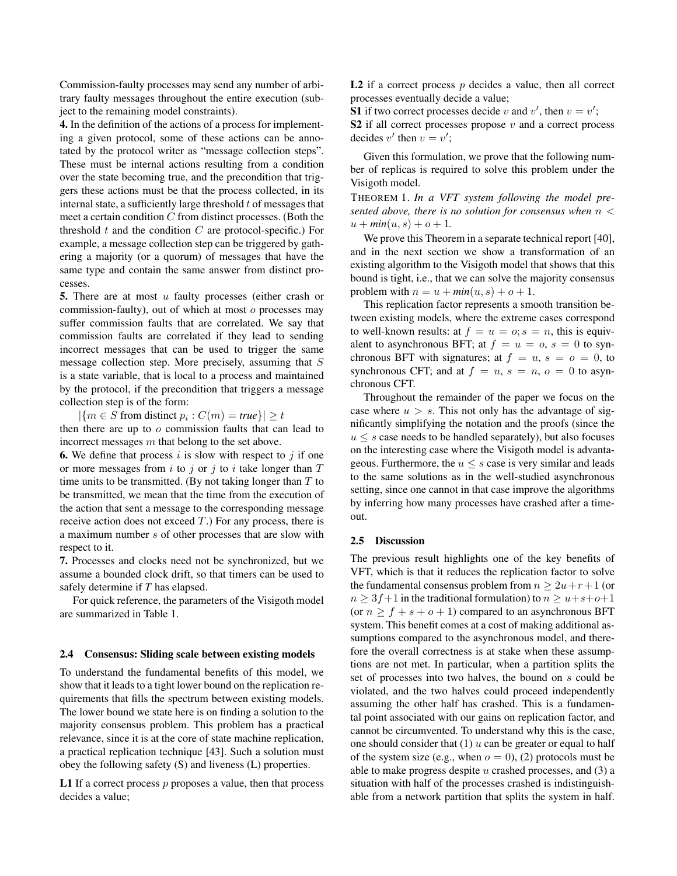Commission-faulty processes may send any number of arbitrary faulty messages throughout the entire execution (subject to the remaining model constraints).

4. In the definition of the actions of a process for implementing a given protocol, some of these actions can be annotated by the protocol writer as "message collection steps". These must be internal actions resulting from a condition over the state becoming true, and the precondition that triggers these actions must be that the process collected, in its internal state, a sufficiently large threshold  $t$  of messages that meet a certain condition C from distinct processes. (Both the threshold  $t$  and the condition  $C$  are protocol-specific.) For example, a message collection step can be triggered by gathering a majority (or a quorum) of messages that have the same type and contain the same answer from distinct processes.

5. There are at most  $u$  faulty processes (either crash or commission-faulty), out of which at most  $o$  processes may suffer commission faults that are correlated. We say that commission faults are correlated if they lead to sending incorrect messages that can be used to trigger the same message collection step. More precisely, assuming that S is a state variable, that is local to a process and maintained by the protocol, if the precondition that triggers a message collection step is of the form:

 $|\{m \in S \text{ from distinct } p_i : C(m) = \text{true}\}| \geq t$ 

then there are up to  $\sigma$  commission faults that can lead to incorrect messages m that belong to the set above.

**6.** We define that process  $i$  is slow with respect to  $j$  if one or more messages from  $i$  to  $j$  or  $j$  to  $i$  take longer than  $T$ time units to be transmitted. (By not taking longer than  $T$  to be transmitted, we mean that the time from the execution of the action that sent a message to the corresponding message receive action does not exceed  $T$ .) For any process, there is a maximum number s of other processes that are slow with respect to it.

7. Processes and clocks need not be synchronized, but we assume a bounded clock drift, so that timers can be used to safely determine if *T* has elapsed.

For quick reference, the parameters of the Visigoth model are summarized in Table 1.

#### 2.4 Consensus: Sliding scale between existing models

To understand the fundamental benefits of this model, we show that it leads to a tight lower bound on the replication requirements that fills the spectrum between existing models. The lower bound we state here is on finding a solution to the majority consensus problem. This problem has a practical relevance, since it is at the core of state machine replication, a practical replication technique [43]. Such a solution must obey the following safety (S) and liveness (L) properties.

L1 If a correct process  $p$  proposes a value, then that process decides a value;

**L2** if a correct process  $p$  decides a value, then all correct processes eventually decide a value;

**S1** if two correct processes decide v and v', then  $v = v'$ ;

 $S2$  if all correct processes propose v and a correct process decides v' then  $v = v'$ ;

Given this formulation, we prove that the following number of replicas is required to solve this problem under the Visigoth model.

THEOREM 1. *In a VFT system following the model presented above, there is no solution for consensus when* n <  $u + min(u, s) + o + 1.$ 

We prove this Theorem in a separate technical report [40], and in the next section we show a transformation of an existing algorithm to the Visigoth model that shows that this bound is tight, i.e., that we can solve the majority consensus problem with  $n = u + min(u, s) + o + 1$ .

This replication factor represents a smooth transition between existing models, where the extreme cases correspond to well-known results: at  $f = u = 0$ ;  $s = n$ , this is equivalent to asynchronous BFT; at  $f = u = 0$ ,  $s = 0$  to synchronous BFT with signatures; at  $f = u$ ,  $s = o = 0$ , to synchronous CFT; and at  $f = u$ ,  $s = n$ ,  $o = 0$  to asynchronous CFT.

Throughout the remainder of the paper we focus on the case where  $u > s$ . This not only has the advantage of significantly simplifying the notation and the proofs (since the  $u \leq s$  case needs to be handled separately), but also focuses on the interesting case where the Visigoth model is advantageous. Furthermore, the  $u \leq s$  case is very similar and leads to the same solutions as in the well-studied asynchronous setting, since one cannot in that case improve the algorithms by inferring how many processes have crashed after a timeout.

#### 2.5 Discussion

The previous result highlights one of the key benefits of VFT, which is that it reduces the replication factor to solve the fundamental consensus problem from  $n \geq 2u+r+1$  (or  $n \geq 3f+1$  in the traditional formulation) to  $n \geq u+s+o+1$ (or  $n \ge f + s + o + 1$ ) compared to an asynchronous BFT system. This benefit comes at a cost of making additional assumptions compared to the asynchronous model, and therefore the overall correctness is at stake when these assumptions are not met. In particular, when a partition splits the set of processes into two halves, the bound on s could be violated, and the two halves could proceed independently assuming the other half has crashed. This is a fundamental point associated with our gains on replication factor, and cannot be circumvented. To understand why this is the case, one should consider that  $(1)$  u can be greater or equal to half of the system size (e.g., when  $o = 0$ ), (2) protocols must be able to make progress despite  $u$  crashed processes, and  $(3)$  a situation with half of the processes crashed is indistinguishable from a network partition that splits the system in half.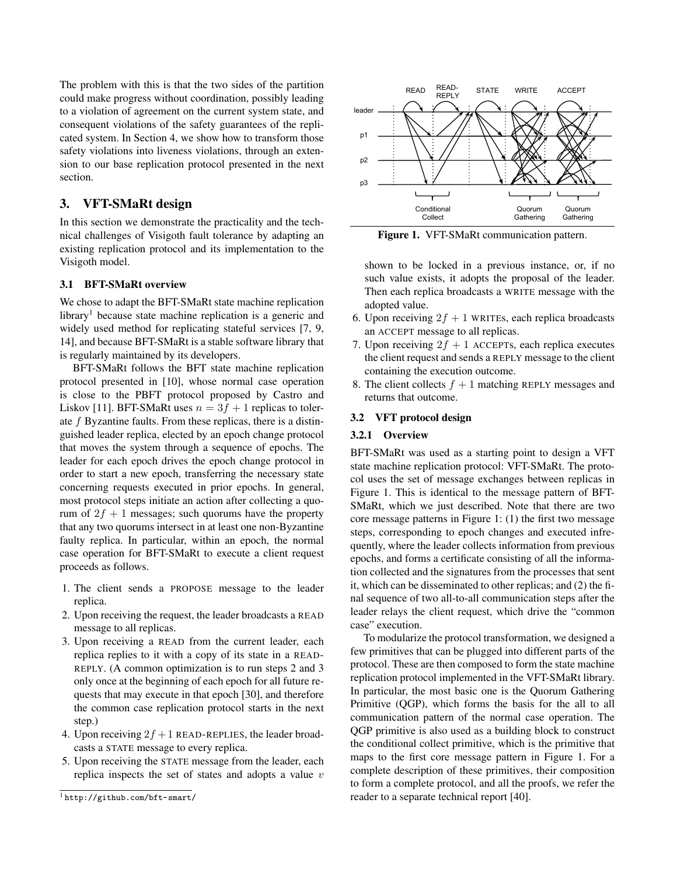The problem with this is that the two sides of the partition could make progress without coordination, possibly leading to a violation of agreement on the current system state, and consequent violations of the safety guarantees of the replicated system. In Section 4, we show how to transform those safety violations into liveness violations, through an extension to our base replication protocol presented in the next section.

# 3. VFT-SMaRt design

In this section we demonstrate the practicality and the technical challenges of Visigoth fault tolerance by adapting an existing replication protocol and its implementation to the Visigoth model.

## 3.1 BFT-SMaRt overview

We chose to adapt the BFT-SMaRt state machine replication library<sup>1</sup> because state machine replication is a generic and widely used method for replicating stateful services [7, 9, 14], and because BFT-SMaRt is a stable software library that is regularly maintained by its developers.

BFT-SMaRt follows the BFT state machine replication protocol presented in [10], whose normal case operation is close to the PBFT protocol proposed by Castro and Liskov [11]. BFT-SMaRt uses  $n = 3f + 1$  replicas to tolerate  $f$  Byzantine faults. From these replicas, there is a distinguished leader replica, elected by an epoch change protocol that moves the system through a sequence of epochs. The leader for each epoch drives the epoch change protocol in order to start a new epoch, transferring the necessary state concerning requests executed in prior epochs. In general, most protocol steps initiate an action after collecting a quorum of  $2f + 1$  messages; such quorums have the property that any two quorums intersect in at least one non-Byzantine faulty replica. In particular, within an epoch, the normal case operation for BFT-SMaRt to execute a client request proceeds as follows.

- 1. The client sends a PROPOSE message to the leader replica.
- 2. Upon receiving the request, the leader broadcasts a READ message to all replicas.
- 3. Upon receiving a READ from the current leader, each replica replies to it with a copy of its state in a READ-REPLY. (A common optimization is to run steps 2 and 3 only once at the beginning of each epoch for all future requests that may execute in that epoch [30], and therefore the common case replication protocol starts in the next step.)
- 4. Upon receiving  $2f + 1$  READ-REPLIES, the leader broadcasts a STATE message to every replica.
- 5. Upon receiving the STATE message from the leader, each replica inspects the set of states and adopts a value  $v$





Figure 1. VFT-SMaRt communication pattern.

shown to be locked in a previous instance, or, if no such value exists, it adopts the proposal of the leader. Then each replica broadcasts a WRITE message with the adopted value.

- 6. Upon receiving  $2f + 1$  WRITES, each replica broadcasts an ACCEPT message to all replicas.
- 7. Upon receiving  $2f + 1$  ACCEPTs, each replica executes the client request and sends a REPLY message to the client containing the execution outcome.
- 8. The client collects  $f + 1$  matching REPLY messages and returns that outcome.

## 3.2 VFT protocol design

#### 3.2.1 Overview

BFT-SMaRt was used as a starting point to design a VFT state machine replication protocol: VFT-SMaRt. The protocol uses the set of message exchanges between replicas in Figure 1. This is identical to the message pattern of BFT-SMaRt, which we just described. Note that there are two core message patterns in Figure 1: (1) the first two message steps, corresponding to epoch changes and executed infrequently, where the leader collects information from previous epochs, and forms a certificate consisting of all the information collected and the signatures from the processes that sent it, which can be disseminated to other replicas; and (2) the final sequence of two all-to-all communication steps after the leader relays the client request, which drive the "common case" execution.

To modularize the protocol transformation, we designed a few primitives that can be plugged into different parts of the protocol. These are then composed to form the state machine replication protocol implemented in the VFT-SMaRt library. In particular, the most basic one is the Quorum Gathering Primitive (QGP), which forms the basis for the all to all communication pattern of the normal case operation. The QGP primitive is also used as a building block to construct the conditional collect primitive, which is the primitive that maps to the first core message pattern in Figure 1. For a complete description of these primitives, their composition to form a complete protocol, and all the proofs, we refer the reader to a separate technical report [40].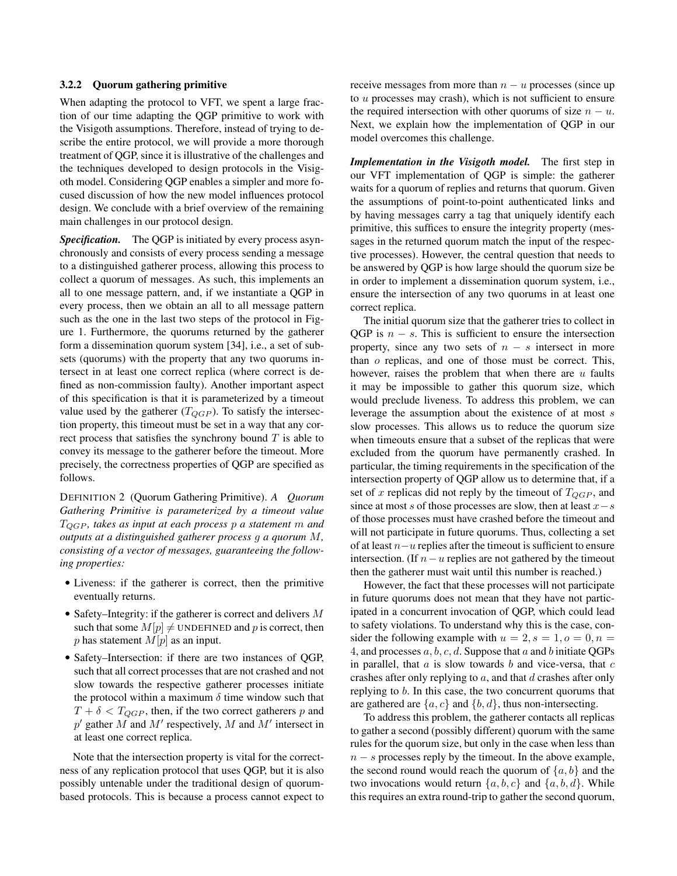### 3.2.2 Quorum gathering primitive

When adapting the protocol to VFT, we spent a large fraction of our time adapting the QGP primitive to work with the Visigoth assumptions. Therefore, instead of trying to describe the entire protocol, we will provide a more thorough treatment of QGP, since it is illustrative of the challenges and the techniques developed to design protocols in the Visigoth model. Considering QGP enables a simpler and more focused discussion of how the new model influences protocol design. We conclude with a brief overview of the remaining main challenges in our protocol design.

*Specification.* The QGP is initiated by every process asynchronously and consists of every process sending a message to a distinguished gatherer process, allowing this process to collect a quorum of messages. As such, this implements an all to one message pattern, and, if we instantiate a QGP in every process, then we obtain an all to all message pattern such as the one in the last two steps of the protocol in Figure 1. Furthermore, the quorums returned by the gatherer form a dissemination quorum system [34], i.e., a set of subsets (quorums) with the property that any two quorums intersect in at least one correct replica (where correct is defined as non-commission faulty). Another important aspect of this specification is that it is parameterized by a timeout value used by the gatherer  $(T_{QGP})$ . To satisfy the intersection property, this timeout must be set in a way that any correct process that satisfies the synchrony bound  $T$  is able to convey its message to the gatherer before the timeout. More precisely, the correctness properties of QGP are specified as follows.

DEFINITION 2 (Quorum Gathering Primitive). *A Quorum Gathering Primitive is parameterized by a timeout value* TQGP *, takes as input at each process* p *a statement* m *and outputs at a distinguished gatherer process* g *a quorum* M*, consisting of a vector of messages, guaranteeing the following properties:*

- Liveness: if the gatherer is correct, then the primitive eventually returns.
- Safety–Integrity: if the gatherer is correct and delivers  $M$ such that some  $M[p] \neq \text{UNDEFINED}$  and p is correct, then p has statement  $M[p]$  as an input.
- Safety–Intersection: if there are two instances of QGP, such that all correct processes that are not crashed and not slow towards the respective gatherer processes initiate the protocol within a maximum  $\delta$  time window such that  $T + \delta < T_{QGP}$ , then, if the two correct gatherers p and  $p'$  gather M and M' respectively, M and M' intersect in at least one correct replica.

Note that the intersection property is vital for the correctness of any replication protocol that uses QGP, but it is also possibly untenable under the traditional design of quorumbased protocols. This is because a process cannot expect to receive messages from more than  $n - u$  processes (since up to  $u$  processes may crash), which is not sufficient to ensure the required intersection with other quorums of size  $n - u$ . Next, we explain how the implementation of QGP in our model overcomes this challenge.

*Implementation in the Visigoth model.* The first step in our VFT implementation of QGP is simple: the gatherer waits for a quorum of replies and returns that quorum. Given the assumptions of point-to-point authenticated links and by having messages carry a tag that uniquely identify each primitive, this suffices to ensure the integrity property (messages in the returned quorum match the input of the respective processes). However, the central question that needs to be answered by QGP is how large should the quorum size be in order to implement a dissemination quorum system, i.e., ensure the intersection of any two quorums in at least one correct replica.

The initial quorum size that the gatherer tries to collect in QGP is  $n - s$ . This is sufficient to ensure the intersection property, since any two sets of  $n - s$  intersect in more than o replicas, and one of those must be correct. This, however, raises the problem that when there are  $u$  faults it may be impossible to gather this quorum size, which would preclude liveness. To address this problem, we can leverage the assumption about the existence of at most s slow processes. This allows us to reduce the quorum size when timeouts ensure that a subset of the replicas that were excluded from the quorum have permanently crashed. In particular, the timing requirements in the specification of the intersection property of QGP allow us to determine that, if a set of x replicas did not reply by the timeout of  $T_{QGP}$ , and since at most s of those processes are slow, then at least  $x-s$ of those processes must have crashed before the timeout and will not participate in future quorums. Thus, collecting a set of at least n−u replies after the timeout is sufficient to ensure intersection. (If  $n - u$  replies are not gathered by the timeout then the gatherer must wait until this number is reached.)

However, the fact that these processes will not participate in future quorums does not mean that they have not participated in a concurrent invocation of QGP, which could lead to safety violations. To understand why this is the case, consider the following example with  $u = 2$ ,  $s = 1$ ,  $o = 0$ ,  $n =$ 4, and processes  $a, b, c, d$ . Suppose that  $a$  and  $b$  initiate QGPs in parallel, that  $a$  is slow towards  $b$  and vice-versa, that  $c$ crashes after only replying to  $a$ , and that  $d$  crashes after only replying to b. In this case, the two concurrent quorums that are gathered are  $\{a, c\}$  and  $\{b, d\}$ , thus non-intersecting.

To address this problem, the gatherer contacts all replicas to gather a second (possibly different) quorum with the same rules for the quorum size, but only in the case when less than  $n - s$  processes reply by the timeout. In the above example, the second round would reach the quorum of  $\{a, b\}$  and the two invocations would return  $\{a, b, c\}$  and  $\{a, b, d\}$ . While this requires an extra round-trip to gather the second quorum,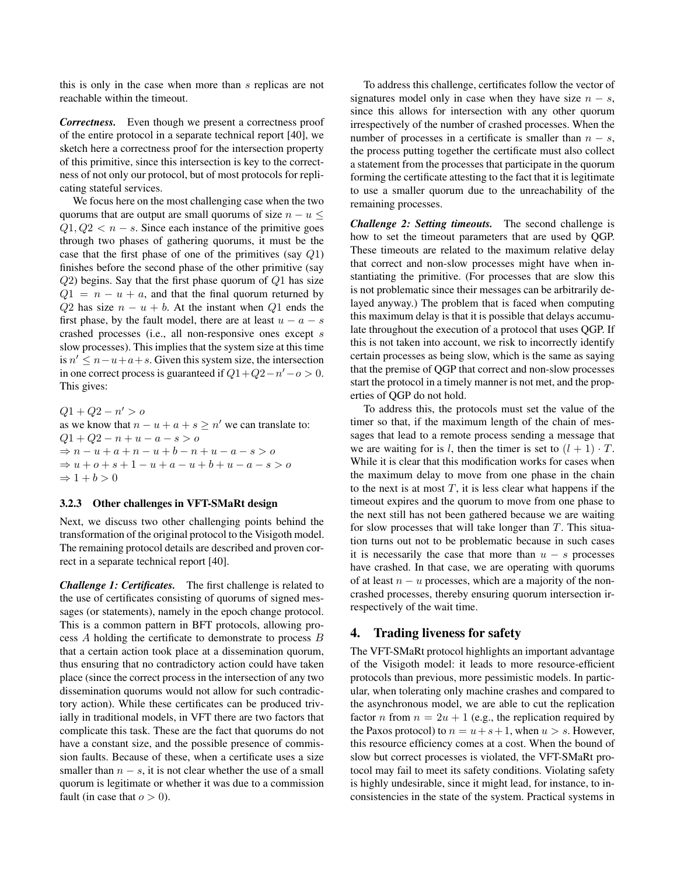this is only in the case when more than  $s$  replicas are not reachable within the timeout.

*Correctness.* Even though we present a correctness proof of the entire protocol in a separate technical report [40], we sketch here a correctness proof for the intersection property of this primitive, since this intersection is key to the correctness of not only our protocol, but of most protocols for replicating stateful services.

We focus here on the most challenging case when the two quorums that are output are small quorums of size  $n - u \leq$  $Q_1, Q_2, n-s$ . Since each instance of the primitive goes through two phases of gathering quorums, it must be the case that the first phase of one of the primitives (say Q1) finishes before the second phase of the other primitive (say  $Q2$ ) begins. Say that the first phase quorum of  $Q1$  has size  $Q1 = n - u + a$ , and that the final quorum returned by Q2 has size  $n - u + b$ . At the instant when Q1 ends the first phase, by the fault model, there are at least  $u - a - s$ crashed processes (i.e., all non-responsive ones except s slow processes). This implies that the system size at this time is  $n' \leq n - u + a + s$ . Given this system size, the intersection in one correct process is guaranteed if  $Q1+Q2-n'-o > 0$ . This gives:

 $Q1 + Q2 - n' > 0$ as we know that  $n - u + a + s \geq n'$  we can translate to:  $Q1 + Q2 - n + u - a - s > 0$  $\Rightarrow n-u+a+n-u+b-n+u-a-s > o$  $\Rightarrow u + o + s + 1 - u + a - u + b + u - a - s > o$  $\Rightarrow$  1 + b > 0

#### 3.2.3 Other challenges in VFT-SMaRt design

Next, we discuss two other challenging points behind the transformation of the original protocol to the Visigoth model. The remaining protocol details are described and proven correct in a separate technical report [40].

*Challenge 1: Certificates.* The first challenge is related to the use of certificates consisting of quorums of signed messages (or statements), namely in the epoch change protocol. This is a common pattern in BFT protocols, allowing process A holding the certificate to demonstrate to process B that a certain action took place at a dissemination quorum, thus ensuring that no contradictory action could have taken place (since the correct process in the intersection of any two dissemination quorums would not allow for such contradictory action). While these certificates can be produced trivially in traditional models, in VFT there are two factors that complicate this task. These are the fact that quorums do not have a constant size, and the possible presence of commission faults. Because of these, when a certificate uses a size smaller than  $n - s$ , it is not clear whether the use of a small quorum is legitimate or whether it was due to a commission fault (in case that  $o > 0$ ).

To address this challenge, certificates follow the vector of signatures model only in case when they have size  $n - s$ , since this allows for intersection with any other quorum irrespectively of the number of crashed processes. When the number of processes in a certificate is smaller than  $n - s$ , the process putting together the certificate must also collect a statement from the processes that participate in the quorum forming the certificate attesting to the fact that it is legitimate to use a smaller quorum due to the unreachability of the remaining processes.

*Challenge 2: Setting timeouts.* The second challenge is how to set the timeout parameters that are used by QGP. These timeouts are related to the maximum relative delay that correct and non-slow processes might have when instantiating the primitive. (For processes that are slow this is not problematic since their messages can be arbitrarily delayed anyway.) The problem that is faced when computing this maximum delay is that it is possible that delays accumulate throughout the execution of a protocol that uses QGP. If this is not taken into account, we risk to incorrectly identify certain processes as being slow, which is the same as saying that the premise of QGP that correct and non-slow processes start the protocol in a timely manner is not met, and the properties of QGP do not hold.

To address this, the protocols must set the value of the timer so that, if the maximum length of the chain of messages that lead to a remote process sending a message that we are waiting for is l, then the timer is set to  $(l + 1) \cdot T$ . While it is clear that this modification works for cases when the maximum delay to move from one phase in the chain to the next is at most  $T$ , it is less clear what happens if the timeout expires and the quorum to move from one phase to the next still has not been gathered because we are waiting for slow processes that will take longer than  $T$ . This situation turns out not to be problematic because in such cases it is necessarily the case that more than  $u - s$  processes have crashed. In that case, we are operating with quorums of at least  $n - u$  processes, which are a majority of the noncrashed processes, thereby ensuring quorum intersection irrespectively of the wait time.

# 4. Trading liveness for safety

The VFT-SMaRt protocol highlights an important advantage of the Visigoth model: it leads to more resource-efficient protocols than previous, more pessimistic models. In particular, when tolerating only machine crashes and compared to the asynchronous model, we are able to cut the replication factor *n* from  $n = 2u + 1$  (e.g., the replication required by the Paxos protocol) to  $n = u + s + 1$ , when  $u > s$ . However, this resource efficiency comes at a cost. When the bound of slow but correct processes is violated, the VFT-SMaRt protocol may fail to meet its safety conditions. Violating safety is highly undesirable, since it might lead, for instance, to inconsistencies in the state of the system. Practical systems in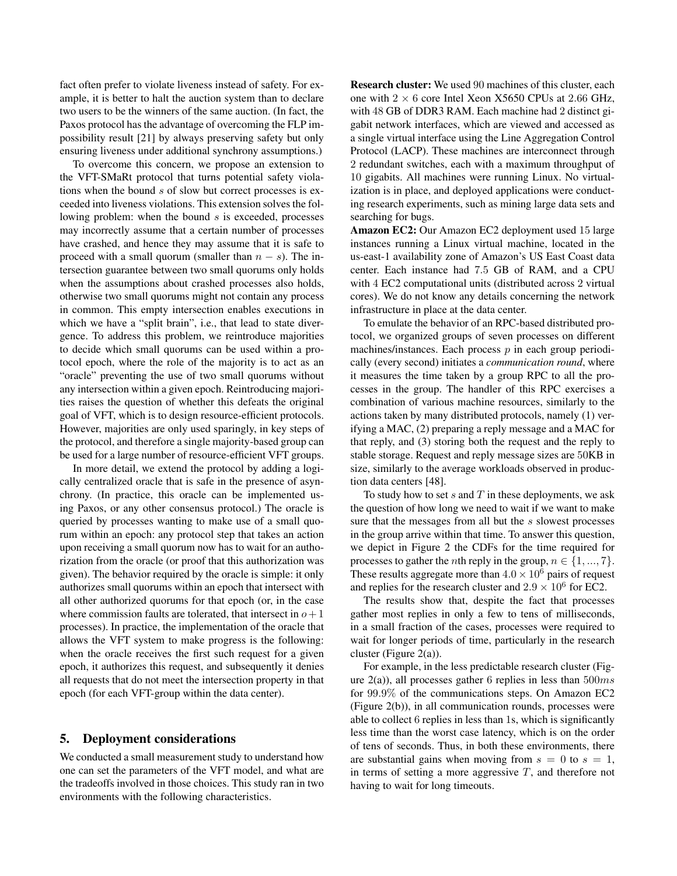fact often prefer to violate liveness instead of safety. For example, it is better to halt the auction system than to declare two users to be the winners of the same auction. (In fact, the Paxos protocol has the advantage of overcoming the FLP impossibility result [21] by always preserving safety but only ensuring liveness under additional synchrony assumptions.)

To overcome this concern, we propose an extension to the VFT-SMaRt protocol that turns potential safety violations when the bound s of slow but correct processes is exceeded into liveness violations. This extension solves the following problem: when the bound s is exceeded, processes may incorrectly assume that a certain number of processes have crashed, and hence they may assume that it is safe to proceed with a small quorum (smaller than  $n - s$ ). The intersection guarantee between two small quorums only holds when the assumptions about crashed processes also holds, otherwise two small quorums might not contain any process in common. This empty intersection enables executions in which we have a "split brain", i.e., that lead to state divergence. To address this problem, we reintroduce majorities to decide which small quorums can be used within a protocol epoch, where the role of the majority is to act as an "oracle" preventing the use of two small quorums without any intersection within a given epoch. Reintroducing majorities raises the question of whether this defeats the original goal of VFT, which is to design resource-efficient protocols. However, majorities are only used sparingly, in key steps of the protocol, and therefore a single majority-based group can be used for a large number of resource-efficient VFT groups.

In more detail, we extend the protocol by adding a logically centralized oracle that is safe in the presence of asynchrony. (In practice, this oracle can be implemented using Paxos, or any other consensus protocol.) The oracle is queried by processes wanting to make use of a small quorum within an epoch: any protocol step that takes an action upon receiving a small quorum now has to wait for an authorization from the oracle (or proof that this authorization was given). The behavior required by the oracle is simple: it only authorizes small quorums within an epoch that intersect with all other authorized quorums for that epoch (or, in the case where commission faults are tolerated, that intersect in  $o+1$ processes). In practice, the implementation of the oracle that allows the VFT system to make progress is the following: when the oracle receives the first such request for a given epoch, it authorizes this request, and subsequently it denies all requests that do not meet the intersection property in that epoch (for each VFT-group within the data center).

## 5. Deployment considerations

We conducted a small measurement study to understand how one can set the parameters of the VFT model, and what are the tradeoffs involved in those choices. This study ran in two environments with the following characteristics.

Research cluster: We used 90 machines of this cluster, each one with  $2 \times 6$  core Intel Xeon X5650 CPUs at 2.66 GHz, with 48 GB of DDR3 RAM. Each machine had 2 distinct gigabit network interfaces, which are viewed and accessed as a single virtual interface using the Line Aggregation Control Protocol (LACP). These machines are interconnect through 2 redundant switches, each with a maximum throughput of 10 gigabits. All machines were running Linux. No virtualization is in place, and deployed applications were conducting research experiments, such as mining large data sets and searching for bugs.

Amazon EC2: Our Amazon EC2 deployment used 15 large instances running a Linux virtual machine, located in the us-east-1 availability zone of Amazon's US East Coast data center. Each instance had 7.5 GB of RAM, and a CPU with 4 EC2 computational units (distributed across 2 virtual cores). We do not know any details concerning the network infrastructure in place at the data center.

To emulate the behavior of an RPC-based distributed protocol, we organized groups of seven processes on different machines/instances. Each process  $p$  in each group periodically (every second) initiates a *communication round*, where it measures the time taken by a group RPC to all the processes in the group. The handler of this RPC exercises a combination of various machine resources, similarly to the actions taken by many distributed protocols, namely (1) verifying a MAC, (2) preparing a reply message and a MAC for that reply, and (3) storing both the request and the reply to stable storage. Request and reply message sizes are 50KB in size, similarly to the average workloads observed in production data centers [48].

To study how to set s and  $T$  in these deployments, we ask the question of how long we need to wait if we want to make sure that the messages from all but the s slowest processes in the group arrive within that time. To answer this question, we depict in Figure 2 the CDFs for the time required for processes to gather the *n*th reply in the group,  $n \in \{1, ..., 7\}$ . These results aggregate more than  $4.0 \times 10^6$  pairs of request and replies for the research cluster and  $2.9 \times 10^6$  for EC2.

The results show that, despite the fact that processes gather most replies in only a few to tens of milliseconds, in a small fraction of the cases, processes were required to wait for longer periods of time, particularly in the research cluster (Figure 2(a)).

For example, in the less predictable research cluster (Figure  $2(a)$ ), all processes gather 6 replies in less than  $500ms$ for 99.9% of the communications steps. On Amazon EC2 (Figure 2(b)), in all communication rounds, processes were able to collect 6 replies in less than 1s, which is significantly less time than the worst case latency, which is on the order of tens of seconds. Thus, in both these environments, there are substantial gains when moving from  $s = 0$  to  $s = 1$ , in terms of setting a more aggressive  $T$ , and therefore not having to wait for long timeouts.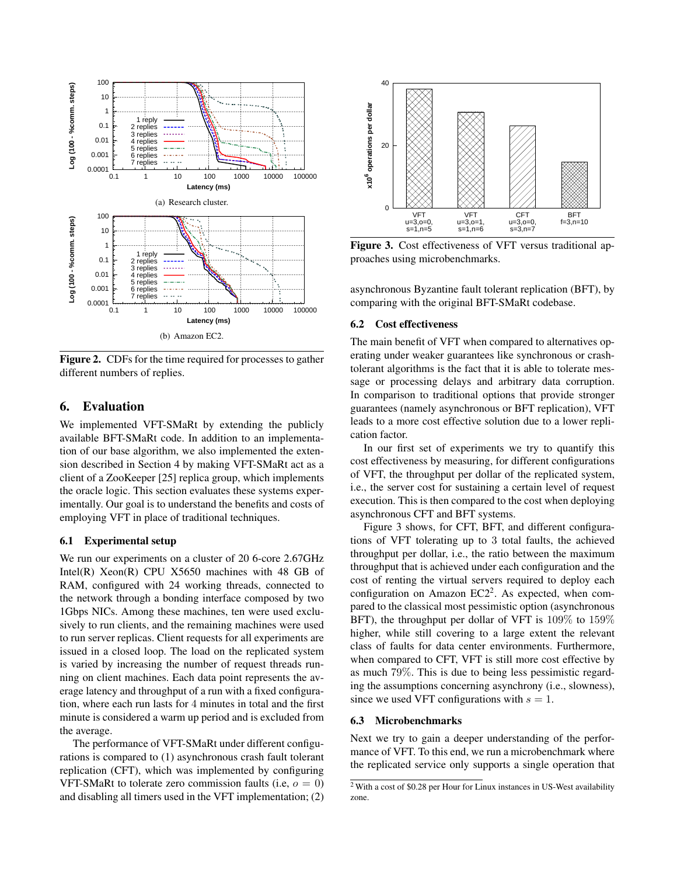

Figure 2. CDFs for the time required for processes to gather different numbers of replies.

## 6. Evaluation

We implemented VFT-SMaRt by extending the publicly available BFT-SMaRt code. In addition to an implementation of our base algorithm, we also implemented the extension described in Section 4 by making VFT-SMaRt act as a client of a ZooKeeper [25] replica group, which implements the oracle logic. This section evaluates these systems experimentally. Our goal is to understand the benefits and costs of employing VFT in place of traditional techniques.

#### 6.1 Experimental setup

We run our experiments on a cluster of 20 6-core 2.67GHz Intel(R) Xeon(R) CPU X5650 machines with 48 GB of RAM, configured with 24 working threads, connected to the network through a bonding interface composed by two 1Gbps NICs. Among these machines, ten were used exclusively to run clients, and the remaining machines were used to run server replicas. Client requests for all experiments are issued in a closed loop. The load on the replicated system is varied by increasing the number of request threads running on client machines. Each data point represents the average latency and throughput of a run with a fixed configuration, where each run lasts for 4 minutes in total and the first minute is considered a warm up period and is excluded from the average.

The performance of VFT-SMaRt under different configurations is compared to (1) asynchronous crash fault tolerant replication (CFT), which was implemented by configuring VFT-SMaRt to tolerate zero commission faults (i.e,  $o = 0$ ) and disabling all timers used in the VFT implementation; (2)



Figure 3. Cost effectiveness of VFT versus traditional approaches using microbenchmarks.

asynchronous Byzantine fault tolerant replication (BFT), by comparing with the original BFT-SMaRt codebase.

### 6.2 Cost effectiveness

The main benefit of VFT when compared to alternatives operating under weaker guarantees like synchronous or crashtolerant algorithms is the fact that it is able to tolerate message or processing delays and arbitrary data corruption. In comparison to traditional options that provide stronger guarantees (namely asynchronous or BFT replication), VFT leads to a more cost effective solution due to a lower replication factor.

In our first set of experiments we try to quantify this cost effectiveness by measuring, for different configurations of VFT, the throughput per dollar of the replicated system, i.e., the server cost for sustaining a certain level of request execution. This is then compared to the cost when deploying asynchronous CFT and BFT systems.

Figure 3 shows, for CFT, BFT, and different configurations of VFT tolerating up to 3 total faults, the achieved throughput per dollar, i.e., the ratio between the maximum throughput that is achieved under each configuration and the cost of renting the virtual servers required to deploy each configuration on Amazon  $EC2<sup>2</sup>$ . As expected, when compared to the classical most pessimistic option (asynchronous BFT), the throughput per dollar of VFT is 109% to 159% higher, while still covering to a large extent the relevant class of faults for data center environments. Furthermore, when compared to CFT, VFT is still more cost effective by as much 79%. This is due to being less pessimistic regarding the assumptions concerning asynchrony (i.e., slowness), since we used VFT configurations with  $s = 1$ .

#### 6.3 Microbenchmarks

Next we try to gain a deeper understanding of the performance of VFT. To this end, we run a microbenchmark where the replicated service only supports a single operation that

 $2$  With a cost of \$0.28 per Hour for Linux instances in US-West availability zone.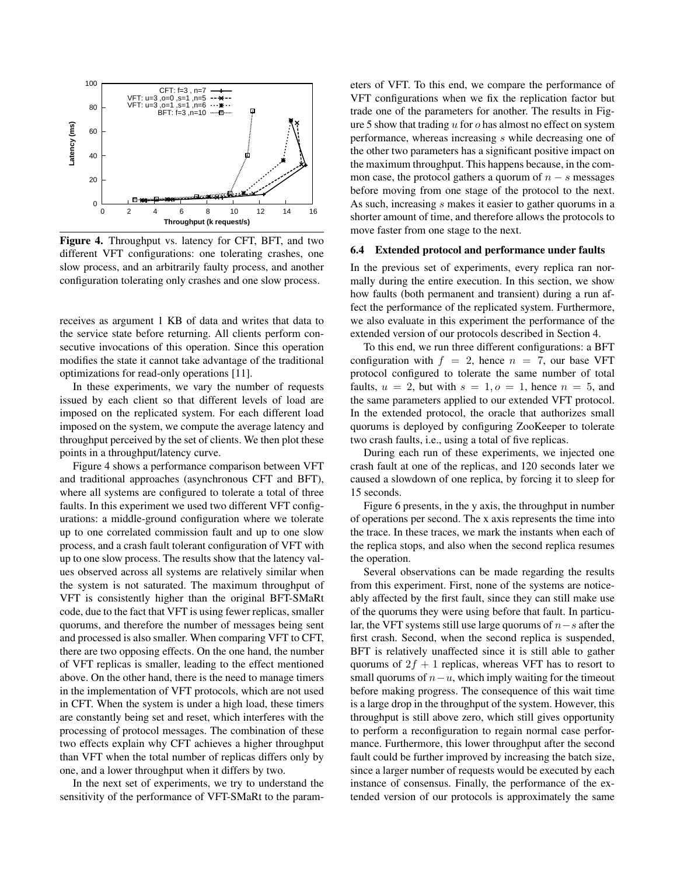

Figure 4. Throughput vs. latency for CFT, BFT, and two different VFT configurations: one tolerating crashes, one slow process, and an arbitrarily faulty process, and another configuration tolerating only crashes and one slow process.

receives as argument 1 KB of data and writes that data to the service state before returning. All clients perform consecutive invocations of this operation. Since this operation modifies the state it cannot take advantage of the traditional optimizations for read-only operations [11].

In these experiments, we vary the number of requests issued by each client so that different levels of load are imposed on the replicated system. For each different load imposed on the system, we compute the average latency and throughput perceived by the set of clients. We then plot these points in a throughput/latency curve.

Figure 4 shows a performance comparison between VFT and traditional approaches (asynchronous CFT and BFT), where all systems are configured to tolerate a total of three faults. In this experiment we used two different VFT configurations: a middle-ground configuration where we tolerate up to one correlated commission fault and up to one slow process, and a crash fault tolerant configuration of VFT with up to one slow process. The results show that the latency values observed across all systems are relatively similar when the system is not saturated. The maximum throughput of VFT is consistently higher than the original BFT-SMaRt code, due to the fact that VFT is using fewer replicas, smaller quorums, and therefore the number of messages being sent and processed is also smaller. When comparing VFT to CFT, there are two opposing effects. On the one hand, the number of VFT replicas is smaller, leading to the effect mentioned above. On the other hand, there is the need to manage timers in the implementation of VFT protocols, which are not used in CFT. When the system is under a high load, these timers are constantly being set and reset, which interferes with the processing of protocol messages. The combination of these two effects explain why CFT achieves a higher throughput than VFT when the total number of replicas differs only by one, and a lower throughput when it differs by two.

In the next set of experiments, we try to understand the sensitivity of the performance of VFT-SMaRt to the parameters of VFT. To this end, we compare the performance of VFT configurations when we fix the replication factor but trade one of the parameters for another. The results in Figure 5 show that trading  $u$  for  $o$  has almost no effect on system performance, whereas increasing s while decreasing one of the other two parameters has a significant positive impact on the maximum throughput. This happens because, in the common case, the protocol gathers a quorum of  $n - s$  messages before moving from one stage of the protocol to the next. As such, increasing s makes it easier to gather quorums in a shorter amount of time, and therefore allows the protocols to move faster from one stage to the next.

#### 6.4 Extended protocol and performance under faults

In the previous set of experiments, every replica ran normally during the entire execution. In this section, we show how faults (both permanent and transient) during a run affect the performance of the replicated system. Furthermore, we also evaluate in this experiment the performance of the extended version of our protocols described in Section 4.

To this end, we run three different configurations: a BFT configuration with  $f = 2$ , hence  $n = 7$ , our base VFT protocol configured to tolerate the same number of total faults,  $u = 2$ , but with  $s = 1, o = 1$ , hence  $n = 5$ , and the same parameters applied to our extended VFT protocol. In the extended protocol, the oracle that authorizes small quorums is deployed by configuring ZooKeeper to tolerate two crash faults, i.e., using a total of five replicas.

During each run of these experiments, we injected one crash fault at one of the replicas, and 120 seconds later we caused a slowdown of one replica, by forcing it to sleep for 15 seconds.

Figure 6 presents, in the y axis, the throughput in number of operations per second. The x axis represents the time into the trace. In these traces, we mark the instants when each of the replica stops, and also when the second replica resumes the operation.

Several observations can be made regarding the results from this experiment. First, none of the systems are noticeably affected by the first fault, since they can still make use of the quorums they were using before that fault. In particular, the VFT systems still use large quorums of  $n-s$  after the first crash. Second, when the second replica is suspended, BFT is relatively unaffected since it is still able to gather quorums of  $2f + 1$  replicas, whereas VFT has to resort to small quorums of  $n-u$ , which imply waiting for the timeout before making progress. The consequence of this wait time is a large drop in the throughput of the system. However, this throughput is still above zero, which still gives opportunity to perform a reconfiguration to regain normal case performance. Furthermore, this lower throughput after the second fault could be further improved by increasing the batch size, since a larger number of requests would be executed by each instance of consensus. Finally, the performance of the extended version of our protocols is approximately the same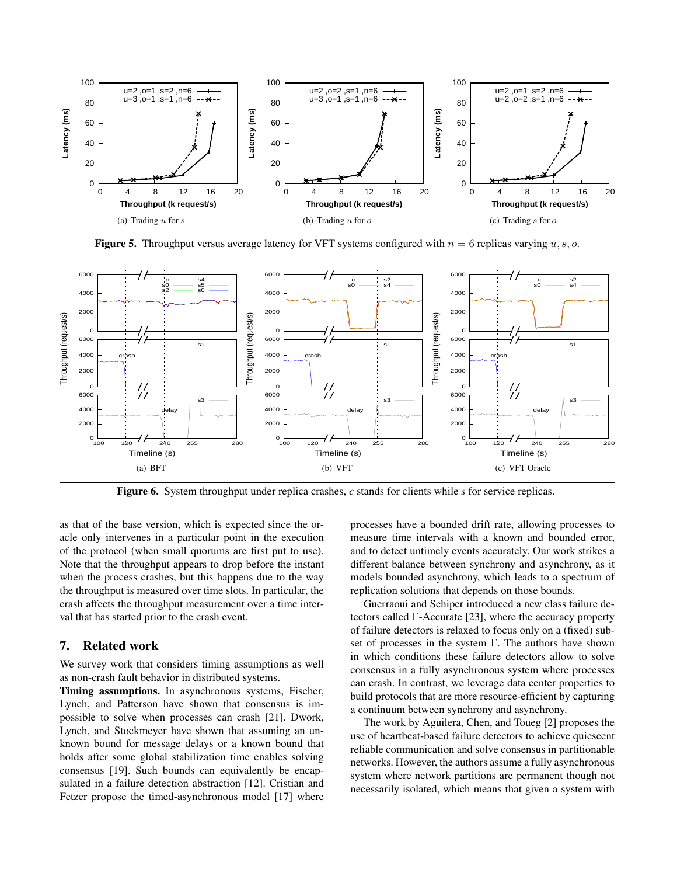

**Figure 5.** Throughput versus average latency for VFT systems configured with  $n = 6$  replicas varying  $u, s, o$ .



Figure 6. System throughput under replica crashes, *c* stands for clients while *s* for service replicas.

as that of the base version, which is expected since the oracle only intervenes in a particular point in the execution of the protocol (when small quorums are first put to use). Note that the throughput appears to drop before the instant when the process crashes, but this happens due to the way the throughput is measured over time slots. In particular, the crash affects the throughput measurement over a time interval that has started prior to the crash event.

## 7. Related work

We survey work that considers timing assumptions as well as non-crash fault behavior in distributed systems.

Timing assumptions. In asynchronous systems, Fischer, Lynch, and Patterson have shown that consensus is impossible to solve when processes can crash [21]. Dwork, Lynch, and Stockmeyer have shown that assuming an unknown bound for message delays or a known bound that holds after some global stabilization time enables solving consensus [19]. Such bounds can equivalently be encapsulated in a failure detection abstraction [12]. Cristian and Fetzer propose the timed-asynchronous model [17] where

processes have a bounded drift rate, allowing processes to measure time intervals with a known and bounded error, and to detect untimely events accurately. Our work strikes a different balance between synchrony and asynchrony, as it models bounded asynchrony, which leads to a spectrum of replication solutions that depends on those bounds.

Guerraoui and Schiper introduced a new class failure detectors called Γ-Accurate [23], where the accuracy property of failure detectors is relaxed to focus only on a (fixed) subset of processes in the system Γ. The authors have shown in which conditions these failure detectors allow to solve consensus in a fully asynchronous system where processes can crash. In contrast, we leverage data center properties to build protocols that are more resource-efficient by capturing a continuum between synchrony and asynchrony.

The work by Aguilera, Chen, and Toueg [2] proposes the use of heartbeat-based failure detectors to achieve quiescent reliable communication and solve consensus in partitionable networks. However, the authors assume a fully asynchronous system where network partitions are permanent though not necessarily isolated, which means that given a system with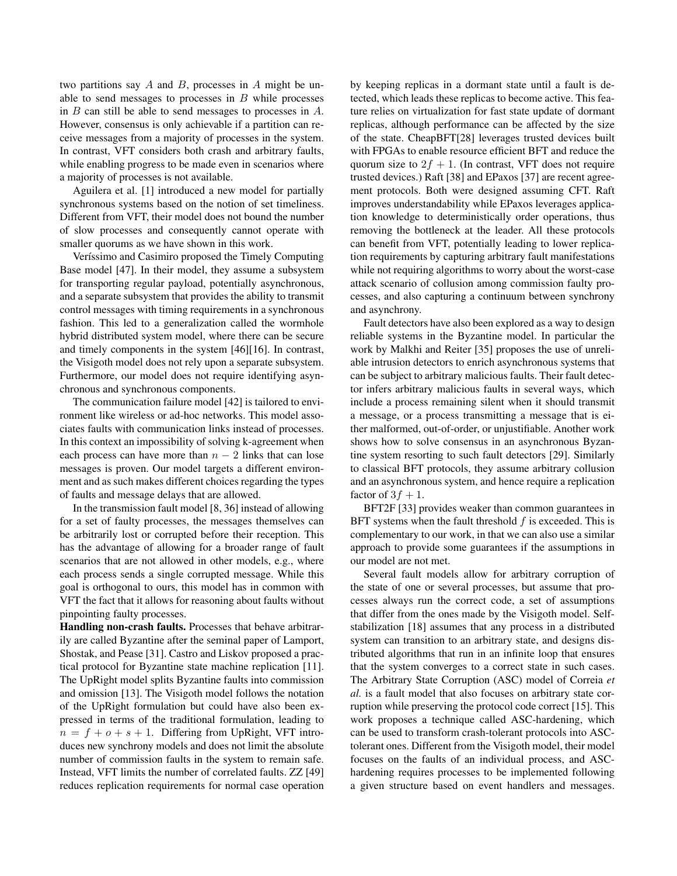two partitions say  $A$  and  $B$ , processes in  $A$  might be unable to send messages to processes in  $B$  while processes in B can still be able to send messages to processes in A. However, consensus is only achievable if a partition can receive messages from a majority of processes in the system. In contrast, VFT considers both crash and arbitrary faults, while enabling progress to be made even in scenarios where a majority of processes is not available.

Aguilera et al. [1] introduced a new model for partially synchronous systems based on the notion of set timeliness. Different from VFT, their model does not bound the number of slow processes and consequently cannot operate with smaller quorums as we have shown in this work.

Veríssimo and Casimiro proposed the Timely Computing Base model [47]. In their model, they assume a subsystem for transporting regular payload, potentially asynchronous, and a separate subsystem that provides the ability to transmit control messages with timing requirements in a synchronous fashion. This led to a generalization called the wormhole hybrid distributed system model, where there can be secure and timely components in the system [46][16]. In contrast, the Visigoth model does not rely upon a separate subsystem. Furthermore, our model does not require identifying asynchronous and synchronous components.

The communication failure model [42] is tailored to environment like wireless or ad-hoc networks. This model associates faults with communication links instead of processes. In this context an impossibility of solving k-agreement when each process can have more than  $n - 2$  links that can lose messages is proven. Our model targets a different environment and as such makes different choices regarding the types of faults and message delays that are allowed.

In the transmission fault model [8, 36] instead of allowing for a set of faulty processes, the messages themselves can be arbitrarily lost or corrupted before their reception. This has the advantage of allowing for a broader range of fault scenarios that are not allowed in other models, e.g., where each process sends a single corrupted message. While this goal is orthogonal to ours, this model has in common with VFT the fact that it allows for reasoning about faults without pinpointing faulty processes.

Handling non-crash faults. Processes that behave arbitrarily are called Byzantine after the seminal paper of Lamport, Shostak, and Pease [31]. Castro and Liskov proposed a practical protocol for Byzantine state machine replication [11]. The UpRight model splits Byzantine faults into commission and omission [13]. The Visigoth model follows the notation of the UpRight formulation but could have also been expressed in terms of the traditional formulation, leading to  $n = f + o + s + 1$ . Differing from UpRight, VFT introduces new synchrony models and does not limit the absolute number of commission faults in the system to remain safe. Instead, VFT limits the number of correlated faults. ZZ [49] reduces replication requirements for normal case operation

by keeping replicas in a dormant state until a fault is detected, which leads these replicas to become active. This feature relies on virtualization for fast state update of dormant replicas, although performance can be affected by the size of the state. CheapBFT[28] leverages trusted devices built with FPGAs to enable resource efficient BFT and reduce the quorum size to  $2f + 1$ . (In contrast, VFT does not require trusted devices.) Raft [38] and EPaxos [37] are recent agreement protocols. Both were designed assuming CFT. Raft improves understandability while EPaxos leverages application knowledge to deterministically order operations, thus removing the bottleneck at the leader. All these protocols can benefit from VFT, potentially leading to lower replication requirements by capturing arbitrary fault manifestations while not requiring algorithms to worry about the worst-case attack scenario of collusion among commission faulty processes, and also capturing a continuum between synchrony and asynchrony.

Fault detectors have also been explored as a way to design reliable systems in the Byzantine model. In particular the work by Malkhi and Reiter [35] proposes the use of unreliable intrusion detectors to enrich asynchronous systems that can be subject to arbitrary malicious faults. Their fault detector infers arbitrary malicious faults in several ways, which include a process remaining silent when it should transmit a message, or a process transmitting a message that is either malformed, out-of-order, or unjustifiable. Another work shows how to solve consensus in an asynchronous Byzantine system resorting to such fault detectors [29]. Similarly to classical BFT protocols, they assume arbitrary collusion and an asynchronous system, and hence require a replication factor of  $3f + 1$ .

BFT2F [33] provides weaker than common guarantees in BFT systems when the fault threshold  $f$  is exceeded. This is complementary to our work, in that we can also use a similar approach to provide some guarantees if the assumptions in our model are not met.

Several fault models allow for arbitrary corruption of the state of one or several processes, but assume that processes always run the correct code, a set of assumptions that differ from the ones made by the Visigoth model. Selfstabilization [18] assumes that any process in a distributed system can transition to an arbitrary state, and designs distributed algorithms that run in an infinite loop that ensures that the system converges to a correct state in such cases. The Arbitrary State Corruption (ASC) model of Correia *et al.* is a fault model that also focuses on arbitrary state corruption while preserving the protocol code correct [15]. This work proposes a technique called ASC-hardening, which can be used to transform crash-tolerant protocols into ASCtolerant ones. Different from the Visigoth model, their model focuses on the faults of an individual process, and ASChardening requires processes to be implemented following a given structure based on event handlers and messages.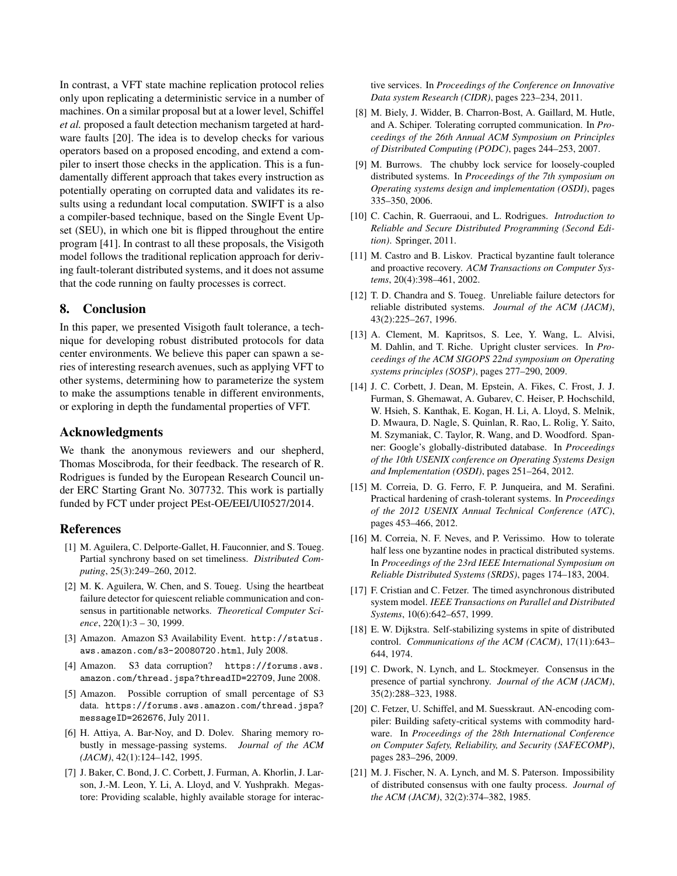In contrast, a VFT state machine replication protocol relies only upon replicating a deterministic service in a number of machines. On a similar proposal but at a lower level, Schiffel *et al.* proposed a fault detection mechanism targeted at hardware faults [20]. The idea is to develop checks for various operators based on a proposed encoding, and extend a compiler to insert those checks in the application. This is a fundamentally different approach that takes every instruction as potentially operating on corrupted data and validates its results using a redundant local computation. SWIFT is a also a compiler-based technique, based on the Single Event Upset (SEU), in which one bit is flipped throughout the entire program [41]. In contrast to all these proposals, the Visigoth model follows the traditional replication approach for deriving fault-tolerant distributed systems, and it does not assume that the code running on faulty processes is correct.

# 8. Conclusion

In this paper, we presented Visigoth fault tolerance, a technique for developing robust distributed protocols for data center environments. We believe this paper can spawn a series of interesting research avenues, such as applying VFT to other systems, determining how to parameterize the system to make the assumptions tenable in different environments, or exploring in depth the fundamental properties of VFT.

## Acknowledgments

We thank the anonymous reviewers and our shepherd, Thomas Moscibroda, for their feedback. The research of R. Rodrigues is funded by the European Research Council under ERC Starting Grant No. 307732. This work is partially funded by FCT under project PEst-OE/EEI/UI0527/2014.

## References

- [1] M. Aguilera, C. Delporte-Gallet, H. Fauconnier, and S. Toueg. Partial synchrony based on set timeliness. *Distributed Computing*, 25(3):249–260, 2012.
- [2] M. K. Aguilera, W. Chen, and S. Toueg. Using the heartbeat failure detector for quiescent reliable communication and consensus in partitionable networks. *Theoretical Computer Science*, 220(1):3 – 30, 1999.
- [3] Amazon. Amazon S3 Availability Event. http://status. aws.amazon.com/s3-20080720.html, July 2008.
- [4] Amazon. S3 data corruption? https://forums.aws. amazon.com/thread.jspa?threadID=22709, June 2008.
- [5] Amazon. Possible corruption of small percentage of S3 data. https://forums.aws.amazon.com/thread.jspa? messageID=262676, July 2011.
- [6] H. Attiya, A. Bar-Noy, and D. Dolev. Sharing memory robustly in message-passing systems. *Journal of the ACM (JACM)*, 42(1):124–142, 1995.
- [7] J. Baker, C. Bond, J. C. Corbett, J. Furman, A. Khorlin, J. Larson, J.-M. Leon, Y. Li, A. Lloyd, and V. Yushprakh. Megastore: Providing scalable, highly available storage for interac-

tive services. In *Proceedings of the Conference on Innovative Data system Research (CIDR)*, pages 223–234, 2011.

- [8] M. Biely, J. Widder, B. Charron-Bost, A. Gaillard, M. Hutle, and A. Schiper. Tolerating corrupted communication. In *Proceedings of the 26th Annual ACM Symposium on Principles of Distributed Computing (PODC)*, pages 244–253, 2007.
- [9] M. Burrows. The chubby lock service for loosely-coupled distributed systems. In *Proceedings of the 7th symposium on Operating systems design and implementation (OSDI)*, pages 335–350, 2006.
- [10] C. Cachin, R. Guerraoui, and L. Rodrigues. *Introduction to Reliable and Secure Distributed Programming (Second Edition)*. Springer, 2011.
- [11] M. Castro and B. Liskov. Practical byzantine fault tolerance and proactive recovery. *ACM Transactions on Computer Systems*, 20(4):398–461, 2002.
- [12] T. D. Chandra and S. Toueg. Unreliable failure detectors for reliable distributed systems. *Journal of the ACM (JACM)*, 43(2):225–267, 1996.
- [13] A. Clement, M. Kapritsos, S. Lee, Y. Wang, L. Alvisi, M. Dahlin, and T. Riche. Upright cluster services. In *Proceedings of the ACM SIGOPS 22nd symposium on Operating systems principles (SOSP)*, pages 277–290, 2009.
- [14] J. C. Corbett, J. Dean, M. Epstein, A. Fikes, C. Frost, J. J. Furman, S. Ghemawat, A. Gubarev, C. Heiser, P. Hochschild, W. Hsieh, S. Kanthak, E. Kogan, H. Li, A. Lloyd, S. Melnik, D. Mwaura, D. Nagle, S. Quinlan, R. Rao, L. Rolig, Y. Saito, M. Szymaniak, C. Taylor, R. Wang, and D. Woodford. Spanner: Google's globally-distributed database. In *Proceedings of the 10th USENIX conference on Operating Systems Design and Implementation (OSDI)*, pages 251–264, 2012.
- [15] M. Correia, D. G. Ferro, F. P. Junqueira, and M. Serafini. Practical hardening of crash-tolerant systems. In *Proceedings of the 2012 USENIX Annual Technical Conference (ATC)*, pages 453–466, 2012.
- [16] M. Correia, N. F. Neves, and P. Verissimo. How to tolerate half less one byzantine nodes in practical distributed systems. In *Proceedings of the 23rd IEEE International Symposium on Reliable Distributed Systems (SRDS)*, pages 174–183, 2004.
- [17] F. Cristian and C. Fetzer. The timed asynchronous distributed system model. *IEEE Transactions on Parallel and Distributed Systems*, 10(6):642–657, 1999.
- [18] E. W. Dijkstra. Self-stabilizing systems in spite of distributed control. *Communications of the ACM (CACM)*, 17(11):643– 644, 1974.
- [19] C. Dwork, N. Lynch, and L. Stockmeyer. Consensus in the presence of partial synchrony. *Journal of the ACM (JACM)*, 35(2):288–323, 1988.
- [20] C. Fetzer, U. Schiffel, and M. Suesskraut. AN-encoding compiler: Building safety-critical systems with commodity hardware. In *Proceedings of the 28th International Conference on Computer Safety, Reliability, and Security (SAFECOMP)*, pages 283–296, 2009.
- [21] M. J. Fischer, N. A. Lynch, and M. S. Paterson. Impossibility of distributed consensus with one faulty process. *Journal of the ACM (JACM)*, 32(2):374–382, 1985.